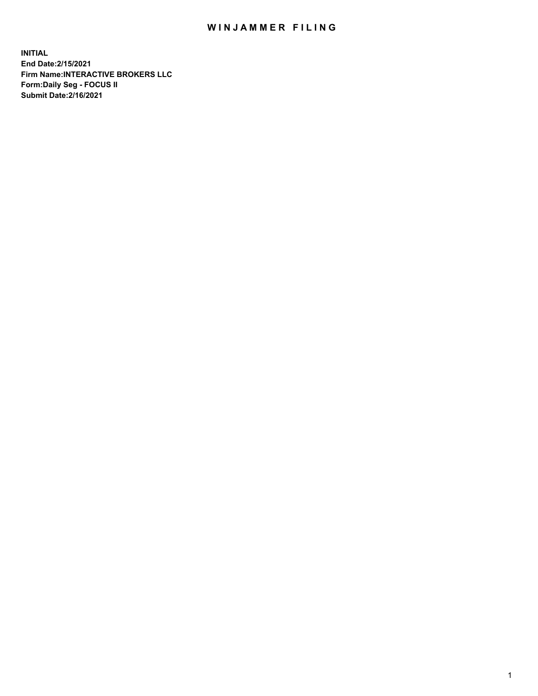## WIN JAMMER FILING

**INITIAL End Date:2/15/2021 Firm Name:INTERACTIVE BROKERS LLC Form:Daily Seg - FOCUS II Submit Date:2/16/2021**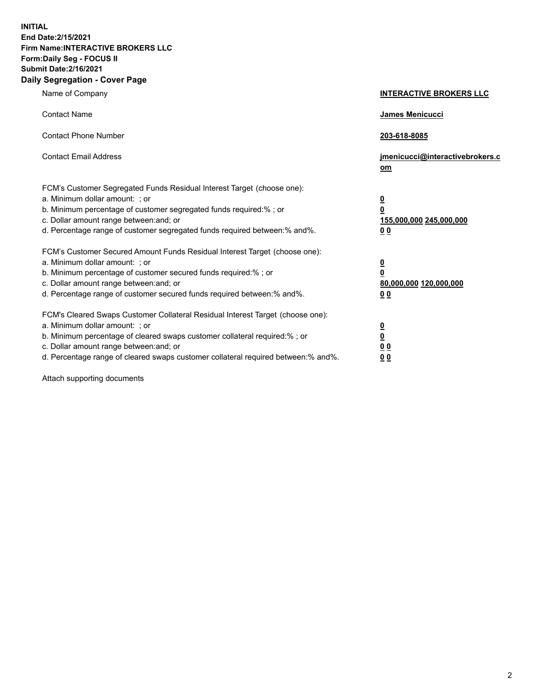**INITIAL End Date:2/15/2021 Firm Name:INTERACTIVE BROKERS LLC Form:Daily Seg - FOCUS II Submit Date:2/16/2021 Daily Segregation - Cover Page**

| Name of Company                                                                                                                                                                                                                                                                                                                | <b>INTERACTIVE BROKERS LLC</b>                                                                  |  |
|--------------------------------------------------------------------------------------------------------------------------------------------------------------------------------------------------------------------------------------------------------------------------------------------------------------------------------|-------------------------------------------------------------------------------------------------|--|
| <b>Contact Name</b>                                                                                                                                                                                                                                                                                                            | James Menicucci                                                                                 |  |
| <b>Contact Phone Number</b>                                                                                                                                                                                                                                                                                                    | 203-618-8085                                                                                    |  |
| <b>Contact Email Address</b>                                                                                                                                                                                                                                                                                                   | jmenicucci@interactivebrokers.c<br>om                                                           |  |
| FCM's Customer Segregated Funds Residual Interest Target (choose one):<br>a. Minimum dollar amount: ; or<br>b. Minimum percentage of customer segregated funds required:% ; or<br>c. Dollar amount range between: and; or<br>d. Percentage range of customer segregated funds required between:% and%.                         | $\overline{\mathbf{0}}$<br>$\overline{\mathbf{0}}$<br>155,000,000 245,000,000<br>0 <sub>0</sub> |  |
| FCM's Customer Secured Amount Funds Residual Interest Target (choose one):<br>a. Minimum dollar amount: ; or<br>b. Minimum percentage of customer secured funds required:% ; or<br>c. Dollar amount range between: and; or<br>d. Percentage range of customer secured funds required between:% and%.                           | $\overline{\mathbf{0}}$<br>0<br>80,000,000 120,000,000<br>0 <sub>0</sub>                        |  |
| FCM's Cleared Swaps Customer Collateral Residual Interest Target (choose one):<br>a. Minimum dollar amount: ; or<br>b. Minimum percentage of cleared swaps customer collateral required:% ; or<br>c. Dollar amount range between: and; or<br>d. Percentage range of cleared swaps customer collateral required between:% and%. | $\overline{\mathbf{0}}$<br><u>0</u><br>$\underline{0}$ $\underline{0}$<br>00                    |  |

Attach supporting documents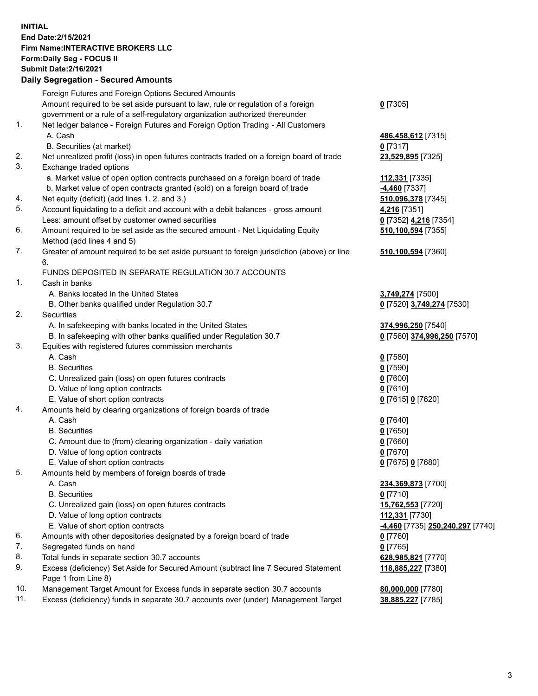**INITIAL End Date:2/15/2021 Firm Name:INTERACTIVE BROKERS LLC Form:Daily Seg - FOCUS II Submit Date:2/16/2021 Daily Segregation - Secured Amounts**

## Foreign Futures and Foreign Options Secured Amounts Amount required to be set aside pursuant to law, rule or regulation of a foreign government or a rule of a self-regulatory organization authorized thereunder **0** [7305] 1. Net ledger balance - Foreign Futures and Foreign Option Trading - All Customers A. Cash **486,458,612** [7315] B. Securities (at market) **0** [7317] 2. Net unrealized profit (loss) in open futures contracts traded on a foreign board of trade **23,529,895** [7325] 3. Exchange traded options a. Market value of open option contracts purchased on a foreign board of trade **112,331** [7335] b. Market value of open contracts granted (sold) on a foreign board of trade **-4,460** [7337] 4. Net equity (deficit) (add lines 1. 2. and 3.) **510,096,378** [7345] 5. Account liquidating to a deficit and account with a debit balances - gross amount **4,216** [7351] Less: amount offset by customer owned securities **0** [7352] **4,216** [7354] 6. Amount required to be set aside as the secured amount - Net Liquidating Equity Method (add lines 4 and 5) **510,100,594** [7355] 7. Greater of amount required to be set aside pursuant to foreign jurisdiction (above) or line 6. **510,100,594** [7360] FUNDS DEPOSITED IN SEPARATE REGULATION 30.7 ACCOUNTS 1. Cash in banks A. Banks located in the United States **3,749,274** [7500] B. Other banks qualified under Regulation 30.7 **0** [7520] **3,749,274** [7530] 2. Securities A. In safekeeping with banks located in the United States **374,996,250** [7540] B. In safekeeping with other banks qualified under Regulation 30.7 **0** [7560] **374,996,250** [7570] 3. Equities with registered futures commission merchants A. Cash **0** [7580] B. Securities **0** [7590] C. Unrealized gain (loss) on open futures contracts **0** [7600] D. Value of long option contracts **0** [7610] E. Value of short option contracts **0** [7615] **0** [7620] 4. Amounts held by clearing organizations of foreign boards of trade A. Cash **0** [7640] B. Securities **0** [7650] C. Amount due to (from) clearing organization - daily variation **0** [7660] D. Value of long option contracts **0** [7670] E. Value of short option contracts **0** [7675] **0** [7680] 5. Amounts held by members of foreign boards of trade A. Cash **234,369,873** [7700] B. Securities **0** [7710] C. Unrealized gain (loss) on open futures contracts **15,762,553** [7720] D. Value of long option contracts **112,331** [7730] E. Value of short option contracts **-4,460** [7735] **250,240,297** [7740] 6. Amounts with other depositories designated by a foreign board of trade **0** [7760] 7. Segregated funds on hand **0** [7765] 8. Total funds in separate section 30.7 accounts **628,985,821** [7770] 9. Excess (deficiency) Set Aside for Secured Amount (subtract line 7 Secured Statement Page 1 from Line 8) **118,885,227** [7380] 10. Management Target Amount for Excess funds in separate section 30.7 accounts **80,000,000** [7780] 11. Excess (deficiency) funds in separate 30.7 accounts over (under) Management Target **38,885,227** [7785]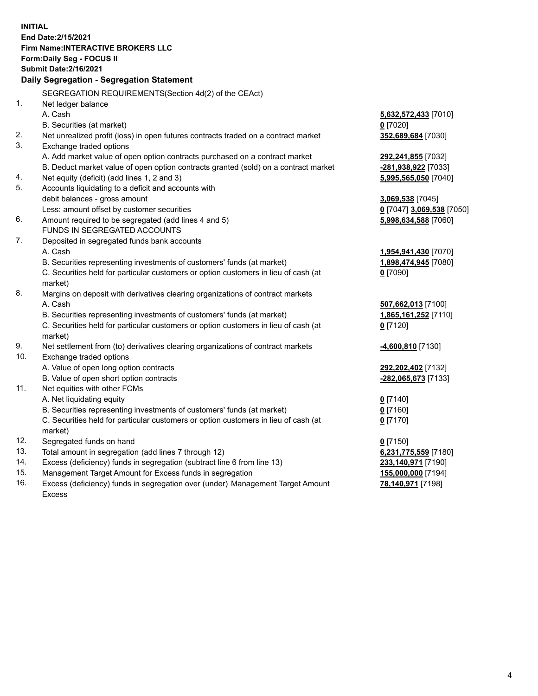**INITIAL End Date:2/15/2021 Firm Name:INTERACTIVE BROKERS LLC Form:Daily Seg - FOCUS II Submit Date:2/16/2021 Daily Segregation - Segregation Statement** SEGREGATION REQUIREMENTS(Section 4d(2) of the CEAct) 1. Net ledger balance A. Cash **5,632,572,433** [7010] B. Securities (at market) **0** [7020] 2. Net unrealized profit (loss) in open futures contracts traded on a contract market **352,689,684** [7030] 3. Exchange traded options A. Add market value of open option contracts purchased on a contract market **292,241,855** [7032] B. Deduct market value of open option contracts granted (sold) on a contract market **-281,938,922** [7033] 4. Net equity (deficit) (add lines 1, 2 and 3) **5,995,565,050** [7040] 5. Accounts liquidating to a deficit and accounts with debit balances - gross amount **3,069,538** [7045] Less: amount offset by customer securities **0** [7047] **3,069,538** [7050] 6. Amount required to be segregated (add lines 4 and 5) **5,998,634,588** [7060] FUNDS IN SEGREGATED ACCOUNTS 7. Deposited in segregated funds bank accounts A. Cash **1,954,941,430** [7070] B. Securities representing investments of customers' funds (at market) **1,898,474,945** [7080] C. Securities held for particular customers or option customers in lieu of cash (at market) **0** [7090] 8. Margins on deposit with derivatives clearing organizations of contract markets A. Cash **507,662,013** [7100] B. Securities representing investments of customers' funds (at market) **1,865,161,252** [7110] C. Securities held for particular customers or option customers in lieu of cash (at market) **0** [7120] 9. Net settlement from (to) derivatives clearing organizations of contract markets **-4,600,810** [7130] 10. Exchange traded options A. Value of open long option contracts **292,202,402** [7132] B. Value of open short option contracts **-282,065,673** [7133] 11. Net equities with other FCMs A. Net liquidating equity **0** [7140] B. Securities representing investments of customers' funds (at market) **0** [7160] C. Securities held for particular customers or option customers in lieu of cash (at market) **0** [7170] 12. Segregated funds on hand **0** [7150] 13. Total amount in segregation (add lines 7 through 12) **6,231,775,559** [7180] 14. Excess (deficiency) funds in segregation (subtract line 6 from line 13) **233,140,971** [7190] 15. Management Target Amount for Excess funds in segregation **155,000,000** [7194]

16. Excess (deficiency) funds in segregation over (under) Management Target Amount Excess

**78,140,971** [7198]